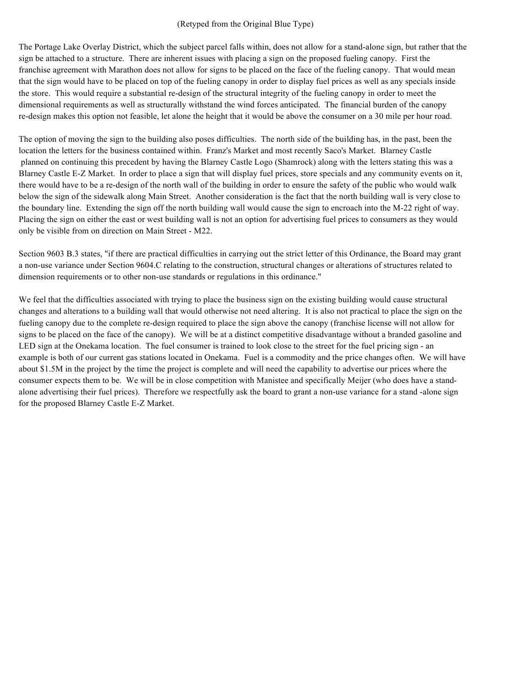### (Retyped from the Original Blue Type)

The Portage Lake Overlay District, which the subject parcel falls within, does not allow for a stand-alone sign, but rather that the sign be attached to a structure. There are inherent issues with placing a sign on the proposed fueling canopy. First the franchise agreement with Marathon does not allow for signs to be placed on the face of the fueling canopy. That would mean that the sign would have to be placed on top of the fueling canopy in order to display fuel prices as well as any specials inside the store. This would require a substantial re-design of the structural integrity of the fueling canopy in order to meet the dimensional requirements as well as structurally withstand the wind forces anticipated. The financial burden of the canopy re-design makes this option not feasible, let alone the height that it would be above the consumer on a 30 mile per hour road.

The option of moving the sign to the building also poses difficulties. The north side of the building has, in the past, been the location the letters for the business contained within. Franz's Market and most recently Saco's Market. Blarney Castle planned on continuing this precedent by having the Blarney Castle Logo (Shamrock) along with the letters stating this was a Blarney Castle E-Z Market. In order to place a sign that will display fuel prices, store specials and any community events on it, there would have to be a re-design of the north wall of the building in order to ensure the safety of the public who would walk below the sign of the sidewalk along Main Street. Another consideration is the fact that the north building wall is very close to the boundary line. Extending the sign off the north building wall would cause the sign to encroach into the M-22 right of way. Placing the sign on either the east or west building wall is not an option for advertising fuel prices to consumers as they would only be visible from on direction on Main Street - M22.

Section 9603 B.3 states, "if there are practical difficulties in carrying out the strict letter of this Ordinance, the Board may grant a non-use variance under Section 9604.C relating to the construction, structural changes or alterations of structures related to dimension requirements or to other non-use standards or regulations in this ordinance."

We feel that the difficulties associated with trying to place the business sign on the existing building would cause structural changes and alterations to a building wall that would otherwise not need altering. It is also not practical to place the sign on the fueling canopy due to the complete re-design required to place the sign above the canopy (franchise license will not allow for signs to be placed on the face of the canopy). We will be at a distinct competitive disadvantage without a branded gasoline and LED sign at the Onekama location. The fuel consumer is trained to look close to the street for the fuel pricing sign - an example is both of our current gas stations located in Onekama. Fuel is a commodity and the price changes often. We will have about \$1.5M in the project by the time the project is complete and will need the capability to advertise our prices where the consumer expects them to be. We will be in close competition with Manistee and specifically Meijer (who does have a standalone advertising their fuel prices). Therefore we respectfully ask the board to grant a non-use variance for a stand -alone sign for the proposed Blarney Castle E-Z Market.